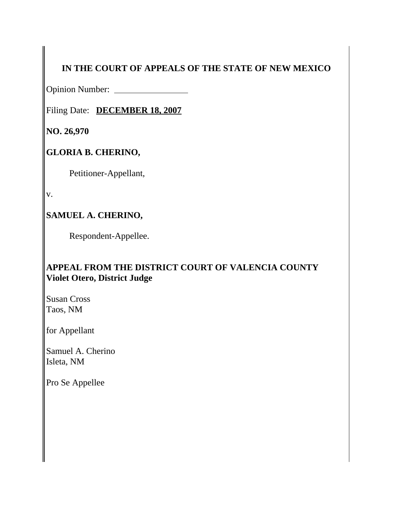# **IN THE COURT OF APPEALS OF THE STATE OF NEW MEXICO**

Opinion Number:

Filing Date: **DECEMBER 18, 2007**

**NO. 26,970** 

# **GLORIA B. CHERINO,**

Petitioner-Appellant,

v.

# **SAMUEL A. CHERINO,**

Respondent-Appellee.

# **APPEAL FROM THE DISTRICT COURT OF VALENCIA COUNTY Violet Otero, District Judge**

Susan Cross Taos, NM

for Appellant

Samuel A. Cherino Isleta, NM

Pro Se Appellee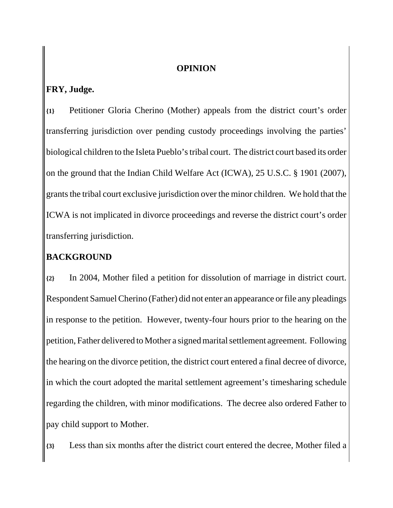#### **OPINION**

## **FRY, Judge.**

**{1}** Petitioner Gloria Cherino (Mother) appeals from the district court's order transferring jurisdiction over pending custody proceedings involving the parties' biological children to the Isleta Pueblo's tribal court. The district court based its order on the ground that the Indian Child Welfare Act (ICWA), 25 U.S.C. § 1901 (2007), grants the tribal court exclusive jurisdiction over the minor children. We hold that the ICWA is not implicated in divorce proceedings and reverse the district court's order transferring jurisdiction.

## **BACKGROUND**

**{2}** In 2004, Mother filed a petition for dissolution of marriage in district court. Respondent Samuel Cherino (Father) did not enter an appearance or file any pleadings in response to the petition. However, twenty-four hours prior to the hearing on the petition, Father delivered to Mother a signed marital settlement agreement. Following the hearing on the divorce petition, the district court entered a final decree of divorce, in which the court adopted the marital settlement agreement's timesharing schedule regarding the children, with minor modifications. The decree also ordered Father to pay child support to Mother.

**{3}** Less than six months after the district court entered the decree, Mother filed a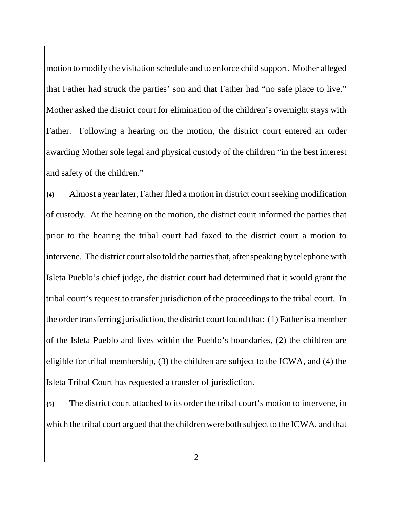motion to modify the visitation schedule and to enforce child support. Mother alleged that Father had struck the parties' son and that Father had "no safe place to live." Mother asked the district court for elimination of the children's overnight stays with Father. Following a hearing on the motion, the district court entered an order awarding Mother sole legal and physical custody of the children "in the best interest and safety of the children."

**{4}** Almost a year later, Father filed a motion in district court seeking modification of custody. At the hearing on the motion, the district court informed the parties that prior to the hearing the tribal court had faxed to the district court a motion to intervene. The district court also told the parties that, after speaking by telephone with Isleta Pueblo's chief judge, the district court had determined that it would grant the tribal court's request to transfer jurisdiction of the proceedings to the tribal court. In the order transferring jurisdiction, the district court found that: (1) Father is a member of the Isleta Pueblo and lives within the Pueblo's boundaries, (2) the children are eligible for tribal membership, (3) the children are subject to the ICWA, and (4) the Isleta Tribal Court has requested a transfer of jurisdiction.

**{5}** The district court attached to its order the tribal court's motion to intervene, in which the tribal court argued that the children were both subject to the ICWA, and that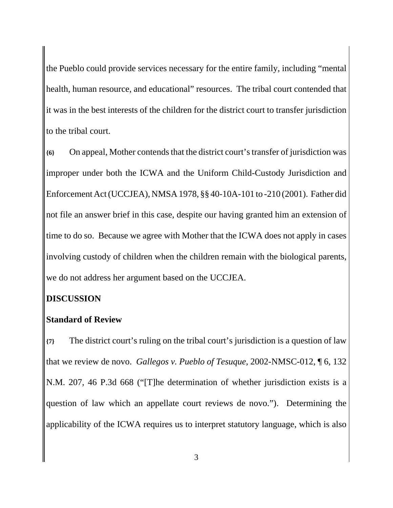the Pueblo could provide services necessary for the entire family, including "mental health, human resource, and educational" resources. The tribal court contended that it was in the best interests of the children for the district court to transfer jurisdiction to the tribal court.

**{6}** On appeal, Mother contends that the district court's transfer of jurisdiction was improper under both the ICWA and the Uniform Child-Custody Jurisdiction and Enforcement Act (UCCJEA), NMSA 1978, §§ 40-10A-101 to -210 (2001). Father did not file an answer brief in this case, despite our having granted him an extension of time to do so. Because we agree with Mother that the ICWA does not apply in cases involving custody of children when the children remain with the biological parents, we do not address her argument based on the UCCJEA.

#### **DISCUSSION**

#### **Standard of Review**

**{7}** The district court's ruling on the tribal court's jurisdiction is a question of law that we review de novo. *Gallegos v. Pueblo of Tesuque*, 2002-NMSC-012, ¶ 6, 132 N.M. 207, 46 P.3d 668 ("[T]he determination of whether jurisdiction exists is a question of law which an appellate court reviews de novo."). Determining the applicability of the ICWA requires us to interpret statutory language, which is also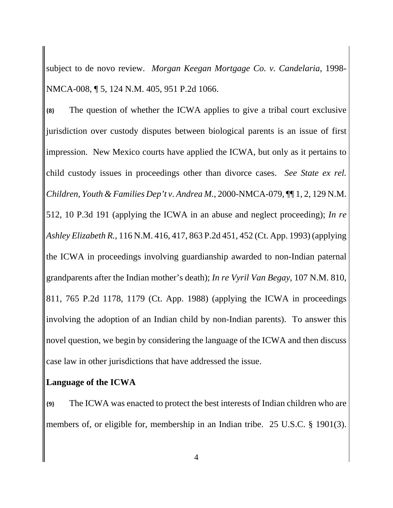subject to de novo review. *Morgan Keegan Mortgage Co. v. Candelaria*, 1998- NMCA-008, ¶ 5, 124 N.M. 405, 951 P.2d 1066.

**{8}** The question of whether the ICWA applies to give a tribal court exclusive jurisdiction over custody disputes between biological parents is an issue of first impression. New Mexico courts have applied the ICWA, but only as it pertains to child custody issues in proceedings other than divorce cases. *See State ex rel. Children, Youth & Families Dep't v. Andrea M.*, 2000-NMCA-079, ¶¶ 1, 2, 129 N.M. 512, 10 P.3d 191 (applying the ICWA in an abuse and neglect proceeding); *In re Ashley Elizabeth R.*, 116 N.M. 416, 417, 863 P.2d 451, 452 (Ct. App. 1993) (applying the ICWA in proceedings involving guardianship awarded to non-Indian paternal grandparents after the Indian mother's death); *In re Vyril Van Begay*, 107 N.M. 810, 811, 765 P.2d 1178, 1179 (Ct. App. 1988) (applying the ICWA in proceedings involving the adoption of an Indian child by non-Indian parents). To answer this novel question, we begin by considering the language of the ICWA and then discuss case law in other jurisdictions that have addressed the issue.

#### **Language of the ICWA**

**{9}** The ICWA was enacted to protect the best interests of Indian children who are members of, or eligible for, membership in an Indian tribe. 25 U.S.C. § 1901(3).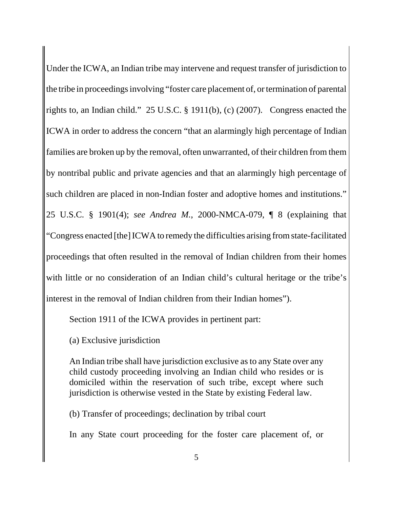Under the ICWA, an Indian tribe may intervene and request transfer of jurisdiction to the tribe in proceedings involving "foster care placement of, or termination of parental rights to, an Indian child." 25 U.S.C. § 1911(b), (c) (2007). Congress enacted the ICWA in order to address the concern "that an alarmingly high percentage of Indian families are broken up by the removal, often unwarranted, of their children from them by nontribal public and private agencies and that an alarmingly high percentage of such children are placed in non-Indian foster and adoptive homes and institutions." 25 U.S.C. § 1901(4); *see Andrea M.*, 2000-NMCA-079, ¶ 8 (explaining that "Congress enacted [the] ICWA to remedy the difficulties arising from state-facilitated proceedings that often resulted in the removal of Indian children from their homes with little or no consideration of an Indian child's cultural heritage or the tribe's interest in the removal of Indian children from their Indian homes").

Section 1911 of the ICWA provides in pertinent part:

(a) Exclusive jurisdiction

An Indian tribe shall have jurisdiction exclusive as to any State over any child custody proceeding involving an Indian child who resides or is domiciled within the reservation of such tribe, except where such jurisdiction is otherwise vested in the State by existing Federal law.

(b) Transfer of proceedings; declination by tribal court

In any State court proceeding for the foster care placement of, or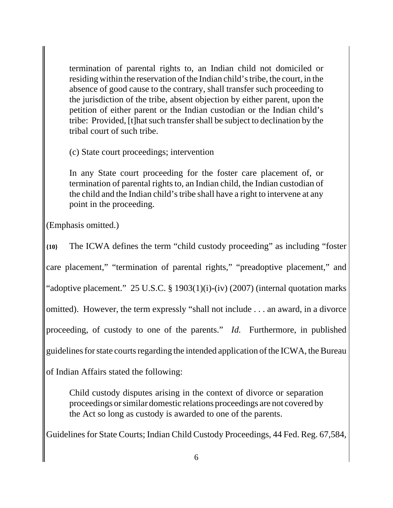termination of parental rights to, an Indian child not domiciled or residing within the reservation of the Indian child's tribe, the court, in the absence of good cause to the contrary, shall transfer such proceeding to the jurisdiction of the tribe, absent objection by either parent, upon the petition of either parent or the Indian custodian or the Indian child's tribe: Provided, [t]hat such transfer shall be subject to declination by the tribal court of such tribe.

(c) State court proceedings; intervention

In any State court proceeding for the foster care placement of, or termination of parental rights to, an Indian child, the Indian custodian of the child and the Indian child's tribe shall have a right to intervene at any point in the proceeding.

(Emphasis omitted.)

**{10}** The ICWA defines the term "child custody proceeding" as including "foster care placement," "termination of parental rights," "preadoptive placement," and "adoptive placement." 25 U.S.C. § 1903(1)(i)-(iv) (2007) (internal quotation marks omitted). However, the term expressly "shall not include . . . an award, in a divorce proceeding, of custody to one of the parents." *Id.* Furthermore, in published guidelines for state courts regarding the intended application of the ICWA, the Bureau

of Indian Affairs stated the following:

Child custody disputes arising in the context of divorce or separation proceedings or similar domestic relations proceedings are not covered by the Act so long as custody is awarded to one of the parents.

Guidelines for State Courts; Indian Child Custody Proceedings, 44 Fed. Reg. 67,584,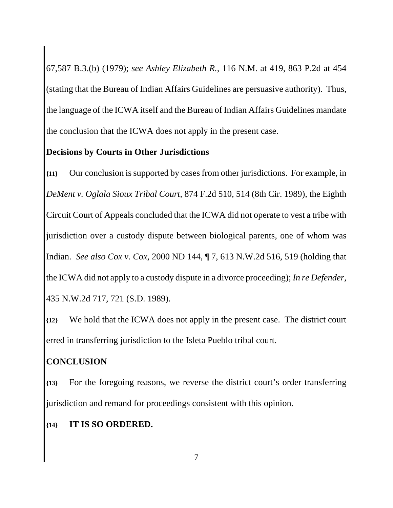67,587 B.3.(b) (1979); *see Ashley Elizabeth R.*, 116 N.M. at 419, 863 P.2d at 454 (stating that the Bureau of Indian Affairs Guidelines are persuasive authority). Thus, the language of the ICWA itself and the Bureau of Indian Affairs Guidelines mandate the conclusion that the ICWA does not apply in the present case.

### **Decisions by Courts in Other Jurisdictions**

**{11}** Our conclusion is supported by cases from other jurisdictions. For example, in *DeMent v. Oglala Sioux Tribal Court*, 874 F.2d 510, 514 (8th Cir. 1989), the Eighth Circuit Court of Appeals concluded that the ICWA did not operate to vest a tribe with jurisdiction over a custody dispute between biological parents, one of whom was Indian. *See also Cox v. Cox*, 2000 ND 144, ¶ 7, 613 N.W.2d 516, 519 (holding that the ICWA did not apply to a custody dispute in a divorce proceeding); *In re Defender*, 435 N.W.2d 717, 721 (S.D. 1989).

**{12}** We hold that the ICWA does not apply in the present case. The district court erred in transferring jurisdiction to the Isleta Pueblo tribal court.

## **CONCLUSION**

**{13}** For the foregoing reasons, we reverse the district court's order transferring jurisdiction and remand for proceedings consistent with this opinion.

#### **{14} IT IS SO ORDERED.**